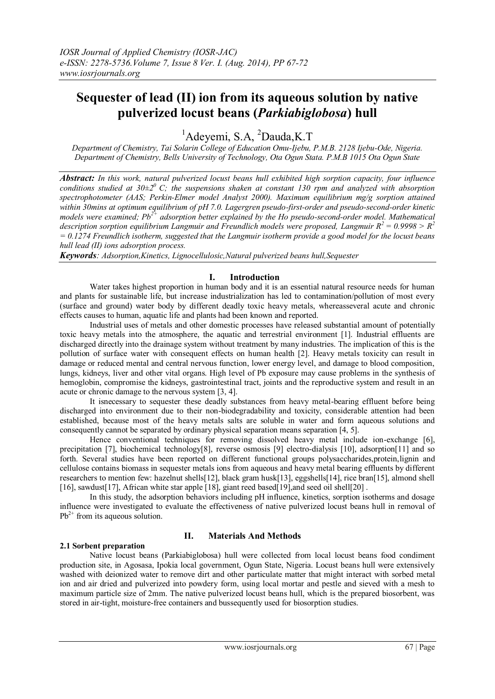# **Sequester of lead (II) ion from its aqueous solution by native pulverized locust beans (***Parkiabiglobosa***) hull**

<sup>1</sup>Adevemi, S.A. <sup>2</sup>Dauda, K.T.

*Department of Chemistry, Tai Solarin College of Education Omu-Ijebu, P.M.B. 2128 Ijebu-Ode, Nigeria. Department of Chemistry, Bells University of Technology, Ota Ogun Stata. P.M.B 1015 Ota Ogun State*

*Abstract: In this work, natural pulverized locust beans hull exhibited high sorption capacity, four influence conditions studied at 30±2<sup>0</sup>C; the suspensions shaken at constant 130 rpm and analyzed with absorption spectrophotometer (AAS; Perkin-Elmer model Analyst 2000). Maximum equilibrium mg/g sorption attained within 30mins at optimum equilibrium of pH 7.0. Lagergren pseudo-first-order and pseudo-second-order kinetic models were examined; Pb2+ adsorption better explained by the Ho pseudo-second-order model. Mathematical description sorption equilibrium Langmuir and Freundlich models were proposed, Langmuir R<sup>2</sup>= 0.9998 > R<sup>2</sup> = 0.1274 Freundlich isotherm, suggested that the Langmuir isotherm provide a good model for the locust beans hull lead (II) ions adsorption process.*

*Keywords: Adsorption,Kinetics, Lignocellulosic,Natural pulverized beans hull,Sequester*

#### **I. Introduction**

Water takes highest proportion in human body and it is an essential natural resource needs for human and plants for sustainable life, but increase industrialization has led to contamination/pollution of most every (surface and ground) water body by different deadly toxic heavy metals, whereasseveral acute and chronic effects causes to human, aquatic life and plants had been known and reported.

Industrial uses of metals and other domestic processes have released substantial amount of potentially toxic heavy metals into the atmosphere, the aquatic and terrestrial environment [1]. Industrial effluents are discharged directly into the drainage system without treatment by many industries. The implication of this is the pollution of surface water with consequent effects on human health [2]. Heavy metals toxicity can result in damage or reduced mental and central nervous function, lower energy level, and damage to blood composition, lungs, kidneys, liver and other vital organs. High level of Pb exposure may cause problems in the synthesis of hemoglobin, compromise the kidneys, gastrointestinal tract, joints and the reproductive system and result in an acute or chronic damage to the nervous system [3, 4].

It isnecessary to sequester these deadly substances from heavy metal-bearing effluent before being discharged into environment due to their non-biodegradability and toxicity, considerable attention had been established, because most of the heavy metals salts are soluble in water and form aqueous solutions and consequently cannot be separated by ordinary physical separation means separation [4, 5].

Hence conventional techniques for removing dissolved heavy metal include ion-exchange [6], precipitation [7], biochemical technology[8], reverse osmosis [9] electro-dialysis [10], adsorption[11] and so forth. Several studies have been reported on different functional groups polysaccharides,protein,lignin and cellulose contains biomass in sequester metals ions from aqueous and heavy metal bearing effluents by different researchers to mention few: hazelnut shells[12], black gram husk[13], eggshells[14], rice bran[15], almond shell [16], sawdust[17], African white star apple [18], giant reed based[19],and seed oil shell[20] .

In this study, the adsorption behaviors including pH influence, kinetics, sorption isotherms and dosage influence were investigated to evaluate the effectiveness of native pulverized locust beans hull in removal of  $Pb^{2+}$  from its aqueous solution.

## **2.1 Sorbent preparation**

## **II. Materials And Methods**

Native locust beans (Parkiabiglobosa) hull were collected from local locust beans food condiment production site, in Agosasa, Ipokia local government, Ogun State, Nigeria. Locust beans hull were extensively washed with deionized water to remove dirt and other particulate matter that might interact with sorbed metal ion and air dried and pulverized into powdery form, using local mortar and pestle and sieved with a mesh to maximum particle size of 2mm. The native pulverized locust beans hull, which is the prepared biosorbent, was stored in air-tight, moisture-free containers and bussequently used for biosorption studies.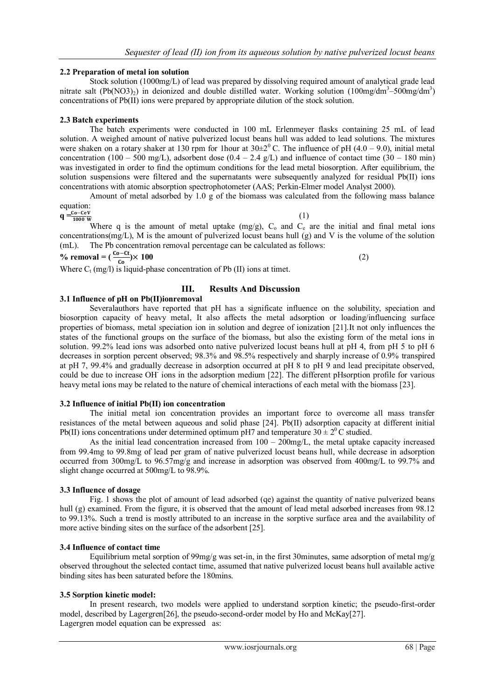### **2.2 Preparation of metal ion solution**

Stock solution (1000mg/L) of lead was prepared by dissolving required amount of analytical grade lead nitrate salt (Pb(NO3)<sub>2</sub>) in deionized and double distilled water. Working solution (100mg/dm<sup>3</sup>–500mg/dm<sup>3</sup>) concentrations of Pb(II) ions were prepared by appropriate dilution of the stock solution.

#### **2.3 Batch experiments**

The batch experiments were conducted in 100 mL Erlenmeyer flasks containing 25 mL of lead solution. A weighed amount of native pulverized locust beans hull was added to lead solutions. The mixtures were shaken on a rotary shaker at 130 rpm for 1hour at  $30\pm2^{\circ}$  C. The influence of pH (4.0 – 9.0), initial metal concentration (100 – 500 mg/L), adsorbent dose (0.4 – 2.4 g/L) and influence of contact time (30 – 180 min) was investigated in order to find the optimum conditions for the lead metal biosorption. After equilibrium, the solution suspensions were filtered and the supernatants were subsequently analyzed for residual Pb(II) ions concentrations with atomic absorption spectrophotometer (AAS; Perkin-Elmer model Analyst 2000).

Amount of metal adsorbed by 1.0 g of the biomass was calculated from the following mass balance equation:

 $q = \frac{C_0 - C e V}{1000 W}$ 

(1)

Where q is the amount of metal uptake  $(mg/g)$ ,  $C_0$  and  $C_e$  are the initial and final metal ions concentrations(mg/L), M is the amount of pulverized locust beans hull  $(g)$  and V is the volume of the solution (mL). The Pb concentration removal percentage can be calculated as follows:

 $\%$  removal =  $(\frac{Co-ct}{Co}) \times 100$  (2)

Where  $C_t$  (mg/l) is liquid-phase concentration of Pb (II) ions at timet.

## **III. Results And Discussion**

#### **3.1 Influence of pH on Pb(II)ionremoval**

Severalauthors have reported that pH has a significate influence on the solubility, speciation and biosorption capacity of heavy metal, It also affects the metal adsorption or loading/influencing surface properties of biomass, metal speciation ion in solution and degree of ionization [21].It not only influences the states of the functional groups on the surface of the biomass, but also the existing form of the metal ions in solution. 99.2% lead ions was adsorbed onto native pulverized locust beans hull at pH 4, from pH 5 to pH 6 decreases in sorption percent observed; 98.3% and 98.5% respectively and sharply increase of 0.9% transpired at pH 7, 99.4% and gradually decrease in adsorption occurred at pH 8 to pH 9 and lead precipitate observed, could be due to increase OH<sup>-</sup> ions in the adsorption medium [22]. The different pHsorption profile for various heavy metal ions may be related to the nature of chemical interactions of each metal with the biomass [23].

#### **3.2 Influence of initial Pb(II) ion concentration**

The initial metal ion concentration provides an important force to overcome all mass transfer resistances of the metal between aqueous and solid phase [24]. Pb(II) adsorption capacity at different initial Pb(II) ions concentrations under determined optimum pH7 and temperature  $30 \pm 2^0$ C studied.

As the initial lead concentration increased from  $100 - 200$  mg/L, the metal uptake capacity increased from 99.4mg to 99.8mg of lead per gram of native pulverized locust beans hull, while decrease in adsorption occurred from 300mg/L to 96.57mg/g and increase in adsorption was observed from 400mg/L to 99.7% and slight change occurred at 500mg/L to 98.9%.

#### **3.3 Influence of dosage**

Fig. 1 shows the plot of amount of lead adsorbed (qe) against the quantity of native pulverized beans hull (g) examined. From the figure, it is observed that the amount of lead metal adsorbed increases from 98.12 to 99.13%. Such a trend is mostly attributed to an increase in the sorptive surface area and the availability of more active binding sites on the surface of the adsorbent [25].

#### **3.4 Influence of contact time**

Equilibrium metal sorption of 99mg/g was set-in, in the first 30minutes, same adsorption of metal mg/g observed throughout the selected contact time, assumed that native pulverized locust beans hull available active binding sites has been saturated before the 180mins.

## **3.5 Sorption kinetic model:**

In present research, two models were applied to understand sorption kinetic; the pseudo-first-order model, described by Lagergren[26], the pseudo-second-order model by Ho and McKay[27]. Lagergren model equation can be expressed as: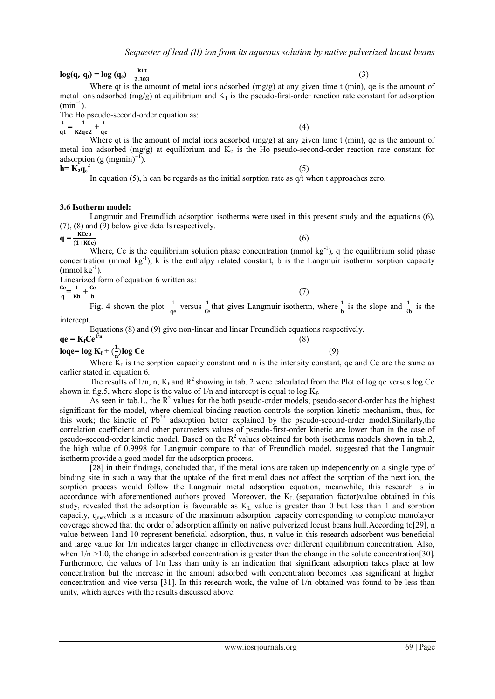**log**( $q_e$ **-** $q_t$ ) = **log**( $q_e$ ) –  $\frac{k1t}{2.20}$ 2.303

#### Where qt is the amount of metal ions adsorbed (mg/g) at any given time t (min), qe is the amount of metal ions adsorbed  $(mg/g)$  at equilibrium and  $K_1$  is the pseudo-first-order reaction rate constant for adsorption  $(min^{-1})$ .

The Ho pseudo-second-order equation as:

t  $\frac{t}{qt} = \frac{1}{K2q}$  $\frac{1}{K2qe2} + \frac{t}{qe}$ 

Where qt is the amount of metal ions adsorbed (mg/g) at any given time t (min), qe is the amount of metal ion adsorbed (mg/g) at equilibrium and  $K_2$  is the Ho pseudo-second-order reaction rate constant for adsorption (g  $(mgmin)^{-1}$ ).  $h = K_2 \dot{q}_e^2$ (5)

In equation (5), h can be regards as the initial sorption rate as  $q/t$  when t approaches zero.

#### **3.6 Isotherm model:**

Langmuir and Freundlich adsorption isotherms were used in this present study and the equations (6), (7), (8) and (9) below give details respectively.

**q =**   $\kappa$ Ceb  $(1+KCe)$ 

(6)

(4)

Where, Ce is the equilibrium solution phase concentration (mmol  $kg^{-1}$ ), q the equilibrium solid phase concentration (mmol  $kg^{-1}$ ), k is the enthalpy related constant, b is the Langmuir isotherm sorption capacity  $\text{(mmol kg}^{-1})$ .

Linearized form of equation 6 written as:

$$
\frac{\text{Ce}}{\text{q}} = \frac{1}{\text{Kb}} + \frac{\text{C}}{\text{q}}
$$

 $+\frac{Ce}{b}$  (7) Fig. 4 shown the plot  $\frac{1}{\text{qe}}$  versus  $\frac{1}{\text{Ce}}$  $\frac{1}{\text{ce}}$  that gives Langmuir isotherm, where  $\frac{1}{\text{b}}$  is the slope and  $\frac{1}{\text{kb}}$  is the intercept.

Equations (8) and (9) give non-linear and linear Freundlich equations respectively.

$$
qe = K_f Ce^{1/n}
$$
  

$$
loqe = log K_f + (\frac{1}{2})log Ce
$$
 (8)

 $\frac{1}{n}$ **log** Ce (9) Where  $K_f$  is the sorption capacity constant and n is the intensity constant, qe and Ce are the same as earlier stated in equation 6.

The results of 1/n, n,  $K_f$  and  $R^2$  showing in tab. 2 were calculated from the Plot of log qe versus log Ce shown in fig.5, where slope is the value of  $1/n$  and intercept is equal to log  $K_f$ .

As seen in tab.1., the  $R^2$  values for the both pseudo-order models; pseudo-second-order has the highest significant for the model, where chemical binding reaction controls the sorption kinetic mechanism, thus, for this work; the kinetic of  $Pb^{2+}$  adsorption better explained by the pseudo-second-order model. Similarly, the correlation coefficient and other parameters values of pseudo-first-order kinetic are lower than in the case of pseudo-second-order kinetic model. Based on the  $R^2$  values obtained for both isotherms models shown in tab.2, the high value of 0.9998 for Langmuir compare to that of Freundlich model, suggested that the Langmuir isotherm provide a good model for the adsorption process.

[28] in their findings, concluded that, if the metal ions are taken up independently on a single type of binding site in such a way that the uptake of the first metal does not affect the sorption of the next ion, the sorption process would follow the Langmuir metal adsorption equation, meanwhile, this research is in accordance with aforementioned authors proved. Moreover, the K<sub>L</sub> (separation factor)value obtained in this study, revealed that the adsorption is favourable as  $K<sub>L</sub>$  value is greater than 0 but less than 1 and sorption capacity, q<sub>max</sub>which is a measure of the maximum adsorption capacity corresponding to complete monolayer coverage showed that the order of adsorption affinity on native pulverized locust beans hull. According to[29], n value between 1and 10 represent beneficial adsorption, thus, n value in this research adsorbent was beneficial and large value for 1/n indicates larger change in effectiveness over different equilibrium concentration. Also, when  $1/n > 1.0$ , the change in adsorbed concentration is greater than the change in the solute concentration [30]. Furthermore, the values of 1/n less than unity is an indication that significant adsorption takes place at low concentration but the increase in the amount adsorbed with concentration becomes less significant at higher concentration and vice versa [31]. In this research work, the value of 1/n obtained was found to be less than unity, which agrees with the results discussed above.

(3)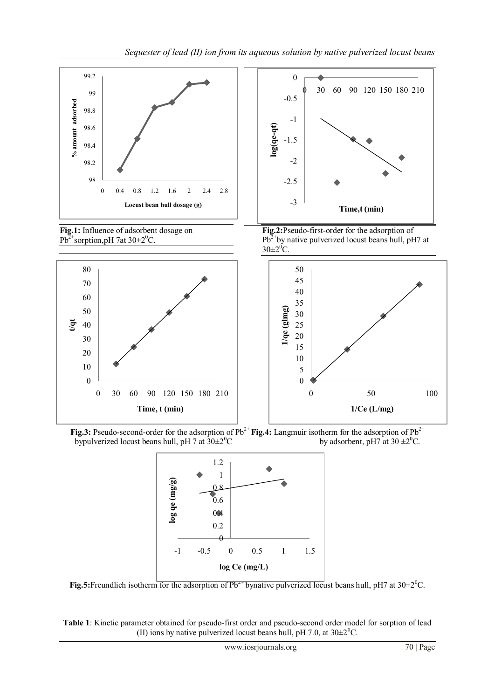

**Fig.3:** Pseudo-second-order for the adsorption of Pb<sup>2+</sup> **Fig.4:** Langmuir isotherm for the adsorption of Pb<sup>2+</sup> by adsorbent, pH7 at 30 $\pm 2^0C$ . by pulverized locust beans hull, pH7 at  $30 \pm 2^0C$ .



**Fig.5:**Freundlich isotherm for the adsorption of  $Pb^{2+}$  bynative pulverized locust beans hull, pH7 at  $30\pm2^0C$ .

**Table 1**: Kinetic parameter obtained for pseudo-first order and pseudo-second order model for sorption of lead (II) ions by native pulverized locust beans hull, pH 7.0, at  $30\pm2\degree C$ .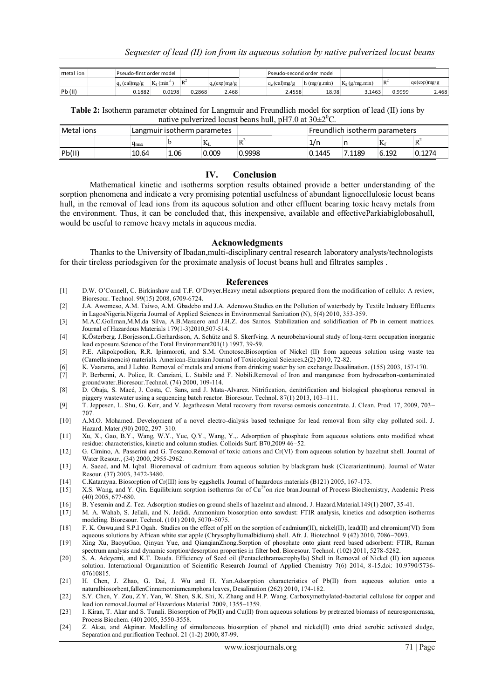| metal ion | Pseudo-first order model |                            |        |                | Pseudo-second order model |                |                  |        |             |
|-----------|--------------------------|----------------------------|--------|----------------|---------------------------|----------------|------------------|--------|-------------|
|           | $q_e$ (cal)mg/g          | $K_1$ (min <sup>-1</sup> ) | $R^2$  | $q_e(exp)mg/g$ | $q_e$ (cal)mg/g           | $h$ (mg/g.min) | $K_2$ (g/mg min) | $D^2$  | qe(exp)mg/g |
| Pb(II)    | 0.1882                   | 0.0198                     | 0.2868 | 2.468          | 2.4558                    | 18.98          | 3.1463           | 0.9999 | 2.468       |

**Table 2:** Isotherm parameter obtained for Langmuir and Freundlich model for sorption of lead (II) ions by native pulverized locust beans hull, pH7.0 at  $30\pm2\degree C$ .

| Metal ions | Langmuir isotherm parametes |      |              |          | Freundlich isotherm parameters |        |          |        |
|------------|-----------------------------|------|--------------|----------|--------------------------------|--------|----------|--------|
|            | Чmах                        |      | $\mathbf{L}$ | `D∸<br>ĸ | 1/n                            |        | TZ.<br>N | 'D∸    |
| Pb(II)     | 10.64                       | 1.06 | 0.009        | 0.9998   | 0.1445                         | 7.1189 | 6.192    | 0.1274 |

#### **IV. Conclusion**

Mathematical kinetic and isotherms sorption results obtained provide a better understanding of the sorption phenomena and indicate a very promising potential usefulness of abundant lignocellulosic locust beans hull, in the removal of lead ions from its aqueous solution and other effluent bearing toxic heavy metals from the environment. Thus, it can be concluded that, this inexpensive, available and effectiveParkiabiglobosahull, would be useful to remove heavy metals in aqueous media.

### **Acknowledgments**

Thanks to the University of Ibadan,multi-disciplinary central research laboratory analysts/technologists for their tireless periodsgiven for the proximate analysis of locust beans hull and filtrates samples .

#### **References**

- [1] D.W. O'Connell, C. Birkinshaw and T.F. O'Dwyer.Heavy metal adsorptions prepared from the modification of cellulo: A review, Bioresour. Technol. 99(15) 2008, 6709-6724.
- [2] J.A. Awomeso, A.M. Taiwo, A.M. Gbadebo and J.A. Adenowo.Studies on the Pollution of waterbody by Textile Industry Effluents in LagosNigeria.Nigeria Journal of Applied Sciences in Environmental Sanitation (N), 5(4) 2010, 353-359.
- [3] M.A.C.Gollman,M.M.da Silva, A.B.Masuero and J.H.Z. dos Santos. Stabilization and solidification of Pb in cement matrices. Journal of Hazardous Materials 179(1-3)2010,507-514.
- [4] K.Ӧsterberg. J.Borjesson,L.Gerhardsson, A. Schütz and S. Skerfving. A neurobehavioural study of long-term occupation inorganic lead exposure.Science of the Total Environment201(1) 1997, 39-59.
- [5] P.E. Aikpokpodion, R.R. Ipinmoroti, and S.M. Omotoso.Biosorption of Nickel (II) from aqueous solution using waste tea (Camellasinencis) materials. American-Eurasian Journal of Toxicological Sciences.2(2) 2010, 72-82.
- [6] K. Vaarama, and J Lehto. Removal of metals and anions from drinking water by ion exchange.Desalination. (155) 2003, 157-170.
- [7] P. Berbenni, A. Police, R. Canziani, L. Stabile and F. Nobili.Removal of Iron and manganese from hydrocarbon-contaminated groundwater.Bioresour.Technol. (74) 2000, 109-114.
- [8] D. Obaja, S. Macé, J. Costa, C. Sans, and J. Mata-Alvarez. Nitrification, denitrification and biological phosphorus removal in piggery wastewater using a sequencing batch reactor. Bioresour. Technol. 87(1) 2013, 103–111.
- [9] T. Jeppesen, L. Shu, G. Keir, and V. Jegatheesan.Metal recovery from reverse osmosis concentrate. J. Clean. Prod. 17, 2009, 703– 707.
- [10] A.M.O. Mohamed. Development of a novel electro-dialysis based technique for lead removal from silty clay polluted soil. J. Hazard. Mater.(90) 2002, 297–310.
- [11] Xu, X., Gao, B.Y., Wang, W.Y., Yue, Q.Y., Wang, Y.,. Adsorption of phosphate from aqueous solutions onto modified wheat residue: characteristics, kinetic and column studies. Colloids Surf. B70,2009 46–52.
- [12] G. Cimino, A. Passerini and G. Toscano.Removal of toxic cations and Cr(VI) from aqueous solution by hazelnut shell. Journal of Water Resour., (34) 2000, 2955-2962.
- [13] A. Saeed, and M. Iqbal. Bioremoval of cadmium from aqueous solution by blackgram husk (Cicerarientinum). Journal of Water Resour. (37) 2003, 3472-3480.
- [14] C.Katarzyna. Biosorption of Cr(III) ions by eggshells. Journal of hazardous materials (B121) 2005, 167-173.
- [15] X.S. Wang, and Y. Qin. Equilibrium sorption isotherms for of  $Cu<sup>2+</sup>$ on rice bran.Journal of Process Biochemistry, Academic Press (40) 2005, 677-680.
- [16] B. Yesemin and Z. Tez. Adsorption studies on ground shells of hazelnut and almond. J. Hazard.Material.149(1) 2007, 35-41.
- [17] M. A. Wahab, S. Jellali, and N. Jedidi. Ammonium biosorption onto sawdust: FTIR analysis, kinetics and adsorption isotherms modeling. Bioresour. Technol. (101) 2010, 5070–5075.
- [18] F. K. Onwu,and S.P.I Ogah. Studies on the effect of pH on the sorption of cadmium(II), nickel(II), lead(II) and chromium(VI) from aqueous solutions by African white star apple (Chrysophyllumalbidium) shell. Afr. J. Biotechnol. 9 (42) 2010, 7086–7093.
- [19] Xing Xu, BaoyuGao, Qinyan Yue, and QianqianZhong.Sorption of phosphate onto giant reed based adsorbent: FTIR, Raman spectrum analysis and dynamic sorption/desorption properties in filter bed. Bioresour. Technol. (102) 2011, 5278-5282.
- [20] S. A. Adeyemi, and K.T. Dauda. Efficiency of Seed oil (Pentaclethramacrophylla) Shell in Removal of Nickel (II) ion aqueous solution. International Organization of Scientific Research Journal of Applied Chemistry 7(6) 2014, 8-15.doi: 10.9790/5736- 07610815.
- [21] H. Chen, J. Zhao, G. Dai, J. Wu and H. Yan.Adsorption characteristics of Pb(II) from aqueous solution onto a naturalbiosorbent,fallenCinnamomiumcamphora leaves, Desalination (262) 2010, 174-182.
- [22] S.Y. Chen, Y. Zou, Z.Y. Yan, W. Shen, S.K. Shi, X. Zhang and H.P. Wang. Carboxymethylated-bacterial cellulose for copper and lead ion removal.Journal of Hazardous Material. 2009, 1355–1359.
- [23] I. Kiran, T. Akar and S. Tunali. Biosorption of Pb(II) and Cu(II) from aqueous solutions by pretreated biomass of neurosporacrassa, Process Biochem. (40) 2005, 3550-3558.
- [24] Z. Aksu, and Akpinar. Modelling of simultaneous biosorption of phenol and nickel(II) onto dried aerobic activated sludge, Separation and purification Technol. 21 (1-2) 2000, 87-99.